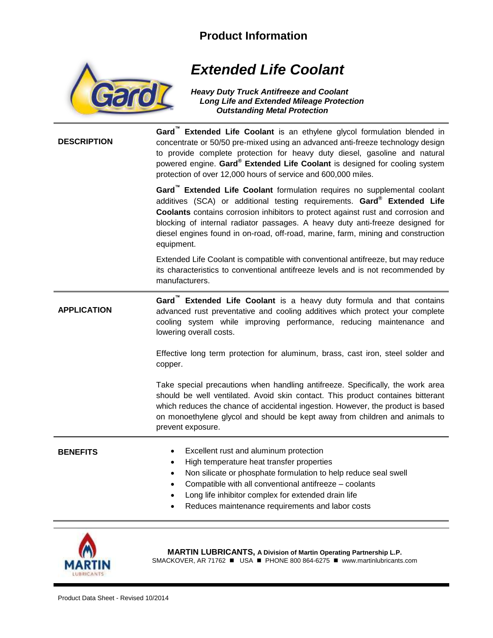## **Product Information**



## *Extended Life Coolant*

*Heavy Duty Truck Antifreeze and Coolant Long Life and Extended Mileage Protection Outstanding Metal Protection*

**DESCRIPTION**

**Gard™ Extended Life Coolant** is an ethylene glycol formulation blended in concentrate or 50/50 pre-mixed using an advanced anti-freeze technology design to provide complete protection for heavy duty diesel, gasoline and natural powered engine. **Gard® Extended Life Coolant** is designed for cooling system protection of over 12,000 hours of service and 600,000 miles.

**Gard™ Extended Life Coolant** formulation requires no supplemental coolant additives (SCA) or additional testing requirements. **Gard® Extended Life Coolants** contains corrosion inhibitors to protect against rust and corrosion and blocking of internal radiator passages. A heavy duty anti-freeze designed for diesel engines found in on-road, off-road, marine, farm, mining and construction equipment.

Extended Life Coolant is compatible with conventional antifreeze, but may reduce its characteristics to conventional antifreeze levels and is not recommended by manufacturers.

**APPLICATION Gard™ Extended Life Coolant** is a heavy duty formula and that contains advanced rust preventative and cooling additives which protect your complete cooling system while improving performance, reducing maintenance and lowering overall costs.

> Effective long term protection for aluminum, brass, cast iron, steel solder and copper.

> Take special precautions when handling antifreeze. Specifically, the work area should be well ventilated. Avoid skin contact. This product containes bitterant which reduces the chance of accidental ingestion. However, the product is based on monoethylene glycol and should be kept away from children and animals to prevent exposure.

**BENEFITS** • Excellent rust and aluminum protection

- High temperature heat transfer properties
- Non silicate or phosphate formulation to help reduce seal swell
- Compatible with all conventional antifreeze coolants
- Long life inhibitor complex for extended drain life
- Reduces maintenance requirements and labor costs



**MARTIN LUBRICANTS, A Division of Martin Operating Partnership L.P.** SMACKOVER, AR 71762 ■ USA ■ PHONE 800 864-6275 ■ www.martinlubricants.com